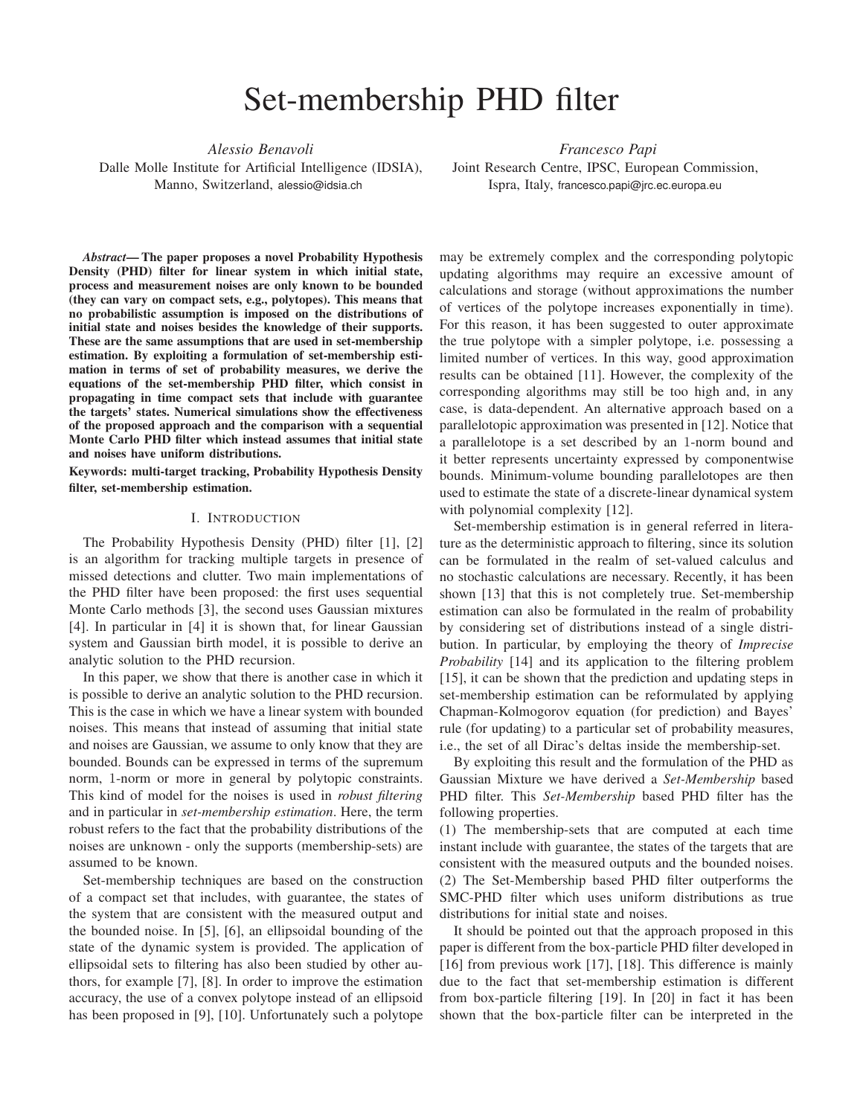# Set-membership PHD filter

*Alessio Benavoli*

Dalle Molle Institute for Artificial Intelligence (IDSIA), Manno, Switzerland, alessio@idsia.ch

*Francesco Papi* Joint Research Centre, IPSC, European Commission, Ispra, Italy, francesco.papi@jrc.ec.europa.eu

*Abstract*— The paper proposes a novel Probability Hypothesis Density (PHD) filter for linear system in which initial state, process and measurement noises are only known to be bounded (they can vary on compact sets, e.g., polytopes). This means that no probabilistic assumption is imposed on the distributions of initial state and noises besides the knowledge of their supports. These are the same assumptions that are used in set-membership estimation. By exploiting a formulation of set-membership estimation in terms of set of probability measures, we derive the equations of the set-membership PHD filter, which consist in propagating in time compact sets that include with guarantee the targets' states. Numerical simulations show the effectiveness of the proposed approach and the comparison with a sequential Monte Carlo PHD filter which instead assumes that initial state and noises have uniform distributions.

Keywords: multi-target tracking, Probability Hypothesis Density filter, set-membership estimation.

## I. INTRODUCTION

The Probability Hypothesis Density (PHD) filter [1], [2] is an algorithm for tracking multiple targets in presence of missed detections and clutter. Two main implementations of the PHD filter have been proposed: the first uses sequential Monte Carlo methods [3], the second uses Gaussian mixtures [4]. In particular in [4] it is shown that, for linear Gaussian system and Gaussian birth model, it is possible to derive an analytic solution to the PHD recursion.

In this paper, we show that there is another case in which it is possible to derive an analytic solution to the PHD recursion. This is the case in which we have a linear system with bounded noises. This means that instead of assuming that initial state and noises are Gaussian, we assume to only know that they are bounded. Bounds can be expressed in terms of the supremum norm, 1-norm or more in general by polytopic constraints. This kind of model for the noises is used in *robust filtering* and in particular in *set-membership estimation*. Here, the term robust refers to the fact that the probability distributions of the noises are unknown - only the supports (membership-sets) are assumed to be known.

Set-membership techniques are based on the construction of a compact set that includes, with guarantee, the states of the system that are consistent with the measured output and the bounded noise. In [5], [6], an ellipsoidal bounding of the state of the dynamic system is provided. The application of ellipsoidal sets to filtering has also been studied by other authors, for example [7], [8]. In order to improve the estimation accuracy, the use of a convex polytope instead of an ellipsoid has been proposed in [9], [10]. Unfortunately such a polytope

may be extremely complex and the corresponding polytopic updating algorithms may require an excessive amount of calculations and storage (without approximations the number of vertices of the polytope increases exponentially in time). For this reason, it has been suggested to outer approximate the true polytope with a simpler polytope, i.e. possessing a limited number of vertices. In this way, good approximation results can be obtained [11]. However, the complexity of the corresponding algorithms may still be too high and, in any case, is data-dependent. An alternative approach based on a parallelotopic approximation was presented in [12]. Notice that a parallelotope is a set described by an 1-norm bound and it better represents uncertainty expressed by componentwise bounds. Minimum-volume bounding parallelotopes are then used to estimate the state of a discrete-linear dynamical system with polynomial complexity [12].

Set-membership estimation is in general referred in literature as the deterministic approach to filtering, since its solution can be formulated in the realm of set-valued calculus and no stochastic calculations are necessary. Recently, it has been shown [13] that this is not completely true. Set-membership estimation can also be formulated in the realm of probability by considering set of distributions instead of a single distribution. In particular, by employing the theory of *Imprecise Probability* [14] and its application to the filtering problem [15], it can be shown that the prediction and updating steps in set-membership estimation can be reformulated by applying Chapman-Kolmogorov equation (for prediction) and Bayes' rule (for updating) to a particular set of probability measures, i.e., the set of all Dirac's deltas inside the membership-set.

By exploiting this result and the formulation of the PHD as Gaussian Mixture we have derived a *Set-Membership* based PHD filter. This *Set-Membership* based PHD filter has the following properties.

(1) The membership-sets that are computed at each time instant include with guarantee, the states of the targets that are consistent with the measured outputs and the bounded noises. (2) The Set-Membership based PHD filter outperforms the SMC-PHD filter which uses uniform distributions as true distributions for initial state and noises.

It should be pointed out that the approach proposed in this paper is different from the box-particle PHD filter developed in [16] from previous work [17], [18]. This difference is mainly due to the fact that set-membership estimation is different from box-particle filtering [19]. In [20] in fact it has been shown that the box-particle filter can be interpreted in the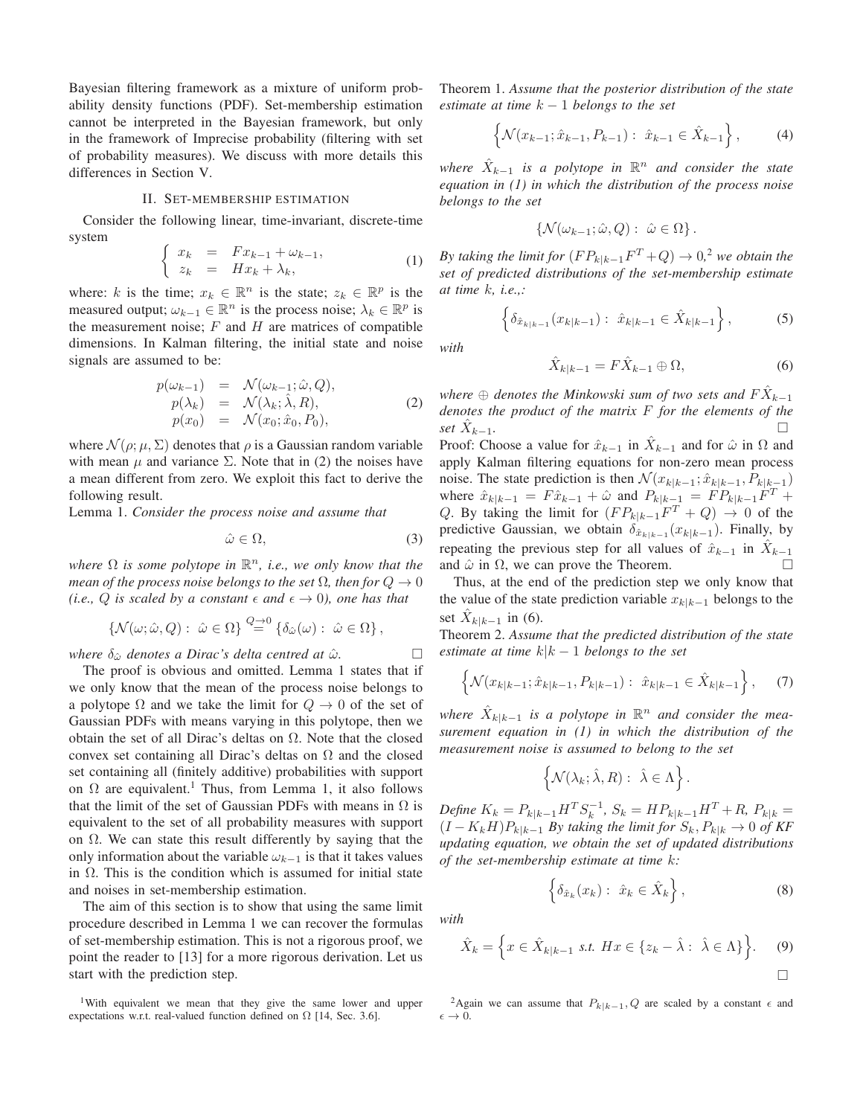Bayesian filtering framework as a mixture of uniform probability density functions (PDF). Set-membership estimation cannot be interpreted in the Bayesian framework, but only in the framework of Imprecise probability (filtering with set of probability measures). We discuss with more details this differences in Section V.

#### II. SET-MEMBERSHIP ESTIMATION

Consider the following linear, time-invariant, discrete-time system

$$
\begin{cases}\n x_k = Fx_{k-1} + \omega_{k-1}, \\
 z_k = Hx_k + \lambda_k,\n\end{cases} (1)
$$

where: k is the time;  $x_k \in \mathbb{R}^n$  is the state;  $z_k \in \mathbb{R}^p$  is the measured output;  $\omega_{k-1} \in \mathbb{R}^n$  is the process noise;  $\lambda_k \in \mathbb{R}^p$  is the measurement noise;  $F$  and  $H$  are matrices of compatible dimensions. In Kalman filtering, the initial state and noise signals are assumed to be:

$$
p(\omega_{k-1}) = \mathcal{N}(\omega_{k-1}; \hat{\omega}, Q),
$$
  
\n
$$
p(\lambda_k) = \mathcal{N}(\lambda_k; \hat{\lambda}, R),
$$
  
\n
$$
p(x_0) = \mathcal{N}(x_0; \hat{x}_0, P_0),
$$
\n(2)

where  $\mathcal{N}(\rho; \mu, \Sigma)$  denotes that  $\rho$  is a Gaussian random variable with mean  $\mu$  and variance  $\Sigma$ . Note that in (2) the noises have a mean different from zero. We exploit this fact to derive the following result.

Lemma 1. *Consider the process noise and assume that*

$$
\hat{\omega} \in \Omega,\tag{3}
$$

where  $\Omega$  *is some polytope in*  $\mathbb{R}^n$ *, i.e., we only know that the mean of the process noise belongs to the set*  $\Omega$ *, then for*  $Q \to 0$ *(i.e., Q is scaled by a constant*  $\epsilon$  *and*  $\epsilon \rightarrow 0$ *), one has that* 

$$
\{\mathcal{N}(\omega; \hat{\omega}, Q): \hat{\omega} \in \Omega\} \stackrel{Q \to 0}{=} \{\delta_{\hat{\omega}}(\omega): \hat{\omega} \in \Omega\},\
$$

*where*  $\delta_{\hat{\omega}}$  *denotes a Dirac's delta centred at*  $\hat{\omega}$ *.*  $\Box$ 

The proof is obvious and omitted. Lemma 1 states that if we only know that the mean of the process noise belongs to a polytope  $\Omega$  and we take the limit for  $Q \to 0$  of the set of Gaussian PDFs with means varying in this polytope, then we obtain the set of all Dirac's deltas on  $\Omega$ . Note that the closed convex set containing all Dirac's deltas on  $\Omega$  and the closed set containing all (finitely additive) probabilities with support on  $\Omega$  are equivalent.<sup>1</sup> Thus, from Lemma 1, it also follows that the limit of the set of Gaussian PDFs with means in  $\Omega$  is equivalent to the set of all probability measures with support on  $\Omega$ . We can state this result differently by saying that the only information about the variable  $\omega_{k-1}$  is that it takes values in  $\Omega$ . This is the condition which is assumed for initial state and noises in set-membership estimation.

The aim of this section is to show that using the same limit procedure described in Lemma 1 we can recover the formulas of set-membership estimation. This is not a rigorous proof, we point the reader to [13] for a more rigorous derivation. Let us start with the prediction step.

<sup>1</sup>With equivalent we mean that they give the same lower and upper expectations w.r.t. real-valued function defined on  $\Omega$  [14, Sec. 3.6].

Theorem 1. *Assume that the posterior distribution of the state estimate at time* k − 1 *belongs to the set*

$$
\left\{ \mathcal{N}(x_{k-1}; \hat{x}_{k-1}, P_{k-1}) : \ \hat{x}_{k-1} \in \hat{X}_{k-1} \right\},\tag{4}
$$

where  $\hat{X}_{k-1}$  is a polytope in  $\mathbb{R}^n$  and consider the state *equation in (1) in which the distribution of the process noise belongs to the set*

$$
\left\{\mathcal{N}(\omega_{k-1};\hat{\omega},Q): \ \hat{\omega}\in\Omega\right\}.
$$

*By taking the limit for*  $(FP_{k|k-1}F^T + Q) \rightarrow 0,^2$  *we obtain the set of predicted distributions of the set-membership estimate at time* k*, i.e.,:*

$$
\left\{\delta_{\hat{x}_{k|k-1}}(x_{k|k-1}): \ \hat{x}_{k|k-1} \in \hat{X}_{k|k-1}\right\},\tag{5}
$$

*with*

$$
\hat{X}_{k|k-1} = F\hat{X}_{k-1} \oplus \Omega,\tag{6}
$$

where  $\oplus$  *denotes the Minkowski sum of two sets and*  $F \hat{X}_{k-1}$ *denotes the product of the matrix* F *for the elements of the set*  $\hat{X}_{k-1}$ . <sup>k</sup>−1*.*

Proof: Choose a value for  $\hat{x}_{k-1}$  in  $\hat{X}_{k-1}$  and for  $\hat{\omega}$  in  $\Omega$  and apply Kalman filtering equations for non-zero mean process noise. The state prediction is then  $\mathcal{N}(x_{k|k-1}; \hat{x}_{k|k-1}, P_{k|k-1})$ where  $\hat{x}_{k|k-1} = F \hat{x}_{k-1} + \hat{\omega}$  and  $P_{k|k-1} = F P_{k|k-1} F^T +$ Q. By taking the limit for  $(FP_{k|k-1}F^T + Q) \rightarrow 0$  of the predictive Gaussian, we obtain  $\delta_{\hat{x}_{k|k-1}}(x_{k|k-1})$ . Finally, by repeating the previous step for all values of  $\hat{x}_{k-1}$  in  $\hat{X}_{k-1}$ and  $\hat{\omega}$  in  $\Omega$ , we can prove the Theorem.

Thus, at the end of the prediction step we only know that the value of the state prediction variable  $x_{k|k-1}$  belongs to the set  $\hat{X}_{k|k-1}$  in (6).

Theorem 2. *Assume that the predicted distribution of the state estimate at time* k|k − 1 *belongs to the set*

$$
\left\{ \mathcal{N}(x_{k|k-1}; \hat{x}_{k|k-1}, P_{k|k-1}) : \hat{x}_{k|k-1} \in \hat{X}_{k|k-1} \right\},\tag{7}
$$

where  $\hat{X}_{k|k-1}$  is a polytope in  $\mathbb{R}^n$  and consider the mea*surement equation in (1) in which the distribution of the measurement noise is assumed to belong to the set*

$$
\left\{ \mathcal{N}(\lambda_k;\hat{\lambda},R): \ \hat{\lambda}\in \Lambda \right\}.
$$

 $Define \ K_k = P_{k|k-1} H^T S_k^{-1}, \ S_k = H P_{k|k-1} H^T + R, \ P_{k|k} =$  $(I - K_k H)P_{k|k-1}$  *By taking the limit for*  $S_k, P_{k|k} \to 0$  *of KF updating equation, we obtain the set of updated distributions of the set-membership estimate at time* k*:*

$$
\left\{\delta_{\hat{x}_k}(x_k): \ \hat{x}_k \in \hat{X}_k\right\},\tag{8}
$$

 $\Box$ 

*with*

$$
\hat{X}_k = \left\{ x \in \hat{X}_{k|k-1} \text{ s.t. } Hx \in \{z_k - \hat{\lambda} : \hat{\lambda} \in \Lambda \} \right\}. \tag{9}
$$

<sup>&</sup>lt;sup>2</sup>Again we can assume that  $P_{k|k-1}$ , Q are scaled by a constant  $\epsilon$  and  $\epsilon \rightarrow 0.$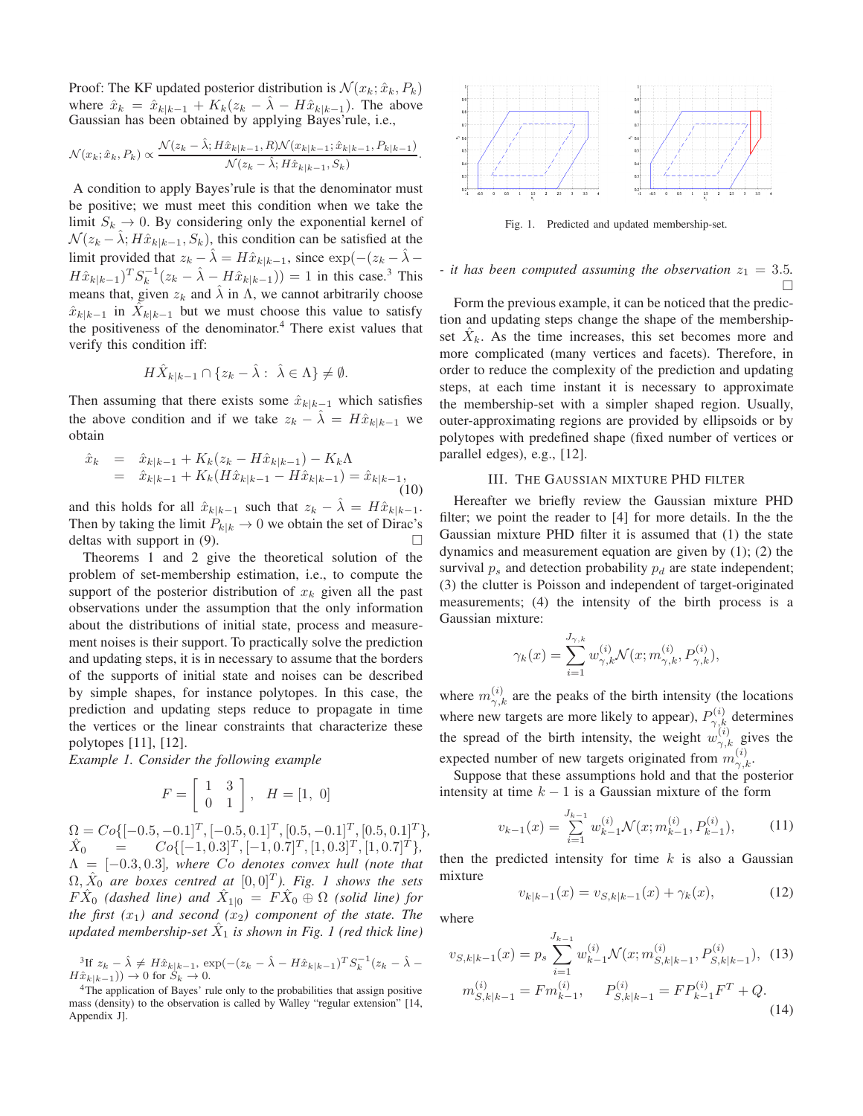Proof: The KF updated posterior distribution is  $\mathcal{N}(x_k; \hat{x}_k, P_k)$ where  $\hat{x}_k = \hat{x}_{k|k-1} + K_k(z_k - \lambda - H\hat{x}_{k|k-1})$ . The above Gaussian has been obtained by applying Bayes'rule, i.e.,

$$
\mathcal{N}(x_k; \hat{x}_k, P_k) \propto \frac{\mathcal{N}(z_k - \hat{\lambda}; H\hat{x}_{k|k-1}, R)\mathcal{N}(x_{k|k-1}; \hat{x}_{k|k-1}, P_{k|k-1})}{\mathcal{N}(z_k - \hat{\lambda}; H\hat{x}_{k|k-1}, S_k)}
$$

.

A condition to apply Bayes'rule is that the denominator must be positive; we must meet this condition when we take the limit  $S_k \to 0$ . By considering only the exponential kernel of  $\mathcal{N}(z_k - \lambda; H\hat{x}_{k|k-1}, S_k)$ , this condition can be satisfied at the limit provided that  $z_k - \hat{\lambda} = H\hat{x}_{k|k-1}$ , since  $\exp(-(z_k - \hat{\lambda} - \hat{\lambda}))$  $H\hat{x}_{k|k-1}$ )<sup>T</sup> $S_k^{-1}(z_k - \hat{\lambda} - H\hat{x}_{k|k-1})$ ) = 1 in this case.<sup>3</sup> This means that, given  $z_k$  and  $\hat{\lambda}$  in  $\Lambda$ , we cannot arbitrarily choose  $\hat{x}_{k|k-1}$  in  $\hat{X}_{k|k-1}$  but we must choose this value to satisfy the positiveness of the denominator.<sup>4</sup> There exist values that verify this condition iff:

$$
H\hat{X}_{k|k-1} \cap \{z_k - \hat{\lambda} : \ \hat{\lambda} \in \Lambda\} \neq \emptyset.
$$

Then assuming that there exists some  $\hat{x}_{k|k-1}$  which satisfies the above condition and if we take  $z_k - \lambda = H\hat{x}_{k|k-1}$  we obtain

$$
\begin{array}{rcl}\n\hat{x}_k & = & \hat{x}_{k|k-1} + K_k(z_k - H\hat{x}_{k|k-1}) - K_k \Lambda \\
& = & \hat{x}_{k|k-1} + K_k(H\hat{x}_{k|k-1} - H\hat{x}_{k|k-1}) = \hat{x}_{k|k-1},\n\end{array} \tag{10}
$$

and this holds for all  $\hat{x}_{k|k-1}$  such that  $z_k - \hat{\lambda} = H\hat{x}_{k|k-1}$ . Then by taking the limit  $P_{k|k} \to 0$  we obtain the set of Dirac's deltas with support in (9).  $\Box$ 

Theorems 1 and 2 give the theoretical solution of the problem of set-membership estimation, i.e., to compute the support of the posterior distribution of  $x_k$  given all the past observations under the assumption that the only information about the distributions of initial state, process and measurement noises is their support. To practically solve the prediction and updating steps, it is in necessary to assume that the borders of the supports of initial state and noises can be described by simple shapes, for instance polytopes. In this case, the prediction and updating steps reduce to propagate in time the vertices or the linear constraints that characterize these polytopes [11], [12].

*Example 1. Consider the following example*

$$
F = \left[ \begin{array}{cc} 1 & 3 \\ 0 & 1 \end{array} \right], \quad H = \left[ 1, \ 0 \right]
$$

 $\Omega = Co\{[-0.5, -0.1]^T, [-0.5, 0.1]^T, [0.5, -0.1]^T, [0.5, 0.1]^T\},\$  $\hat{X}_0$  =  $Co\{[-1, 0.3]^T, [-1, 0.7]^T, [1, 0.3]^T, [1, 0.7]^T\},$  $\Lambda = [-0.3, 0.3]$ , where Co denotes convex hull (note that  $\Omega, \hat{X}_0$  are boxes centred at  $[0,0]^T$ ). Fig. 1 shows the sets  $F \hat{X}_0$  (dashed line) and  $\hat{X}_{1|0} = F \hat{X}_0 \oplus \Omega$  (solid line) for *the first*  $(x_1)$  *and second*  $(x_2)$  *component of the state. The updated membership-set* Xˆ <sup>1</sup> *is shown in Fig. 1 (red thick line)*

<sup>3</sup>If  $z_k - \hat{\lambda} \neq H\hat{x}_{k|k-1}, \exp(-(z_k - \hat{\lambda} - H\hat{x}_{k|k-1})^T S_k^{-1} (z_k - \hat{\lambda} - H\hat{x}_{k|k-1})^T S_k^{-1} (z_k - \hat{\lambda} - H\hat{x}_{k|k-1})^T S_k^{-1} (z_k - \hat{\lambda} - H\hat{x}_{k|k-1})^T S_k^{-1} (z_k - \hat{\lambda} - H\hat{x}_{k|k-1})^T S_k^{-1} (z_k - \hat{\lambda} - H\hat{x}_{k|k-1})^T S_k^{-1} (z_k - \hat{\lambda} - H\hat{x}_{k|k-1})^$  $H\hat{x}_{k|k-1})$ )  $\to$  0 for  $S_k \to 0$ .



Fig. 1. Predicted and updated membership-set.

# *- it has been computed assuming the observation*  $z_1 = 3.5$ *.* П

Form the previous example, it can be noticed that the prediction and updating steps change the shape of the membershipset  $\hat{X}_k$ . As the time increases, this set becomes more and more complicated (many vertices and facets). Therefore, in order to reduce the complexity of the prediction and updating steps, at each time instant it is necessary to approximate the membership-set with a simpler shaped region. Usually, outer-approximating regions are provided by ellipsoids or by polytopes with predefined shape (fixed number of vertices or parallel edges), e.g., [12].

## III. THE GAUSSIAN MIXTURE PHD FILTER

Hereafter we briefly review the Gaussian mixture PHD filter; we point the reader to [4] for more details. In the the Gaussian mixture PHD filter it is assumed that (1) the state dynamics and measurement equation are given by (1); (2) the survival  $p_s$  and detection probability  $p_d$  are state independent; (3) the clutter is Poisson and independent of target-originated measurements; (4) the intensity of the birth process is a Gaussian mixture:

$$
\gamma_k(x) = \sum_{i=1}^{J_{\gamma,k}} w_{\gamma,k}^{(i)} \mathcal{N}(x; m_{\gamma,k}^{(i)}, P_{\gamma,k}^{(i)}),
$$

where  $m_{\gamma,k}^{(i)}$  are the peaks of the birth intensity (the locations where new targets are more likely to appear),  $P_{\gamma,k}^{(i)}$  determines the spread of the birth intensity, the weight  $w_{\gamma,k}^{(i)}$  gives the expected number of new targets originated from  $m_{\gamma,k}^{(i)}$ .

Suppose that these assumptions hold and that the posterior intensity at time  $k - 1$  is a Gaussian mixture of the form

$$
v_{k-1}(x) = \sum_{i=1}^{J_{k-1}} w_{k-1}^{(i)} \mathcal{N}(x; m_{k-1}^{(i)}, P_{k-1}^{(i)}),
$$
 (11)

then the predicted intensity for time  $k$  is also a Gaussian mixture

$$
v_{k|k-1}(x) = v_{S,k|k-1}(x) + \gamma_k(x), \tag{12}
$$

where

$$
v_{S,k|k-1}(x) = p_s \sum_{i=1}^{J_{k-1}} w_{k-1}^{(i)} \mathcal{N}(x; m_{S,k|k-1}^{(i)}, P_{S,k|k-1}^{(i)}),
$$
 (13)  

$$
m_{S,k|k-1}^{(i)} = Fm_{k-1}^{(i)}, \qquad P_{S,k|k-1}^{(i)} = FP_{k-1}^{(i)}F^T + Q.
$$
 (14)

<sup>&</sup>lt;sup>4</sup>The application of Bayes' rule only to the probabilities that assign positive mass (density) to the observation is called by Walley "regular extension" [14, Appendix J].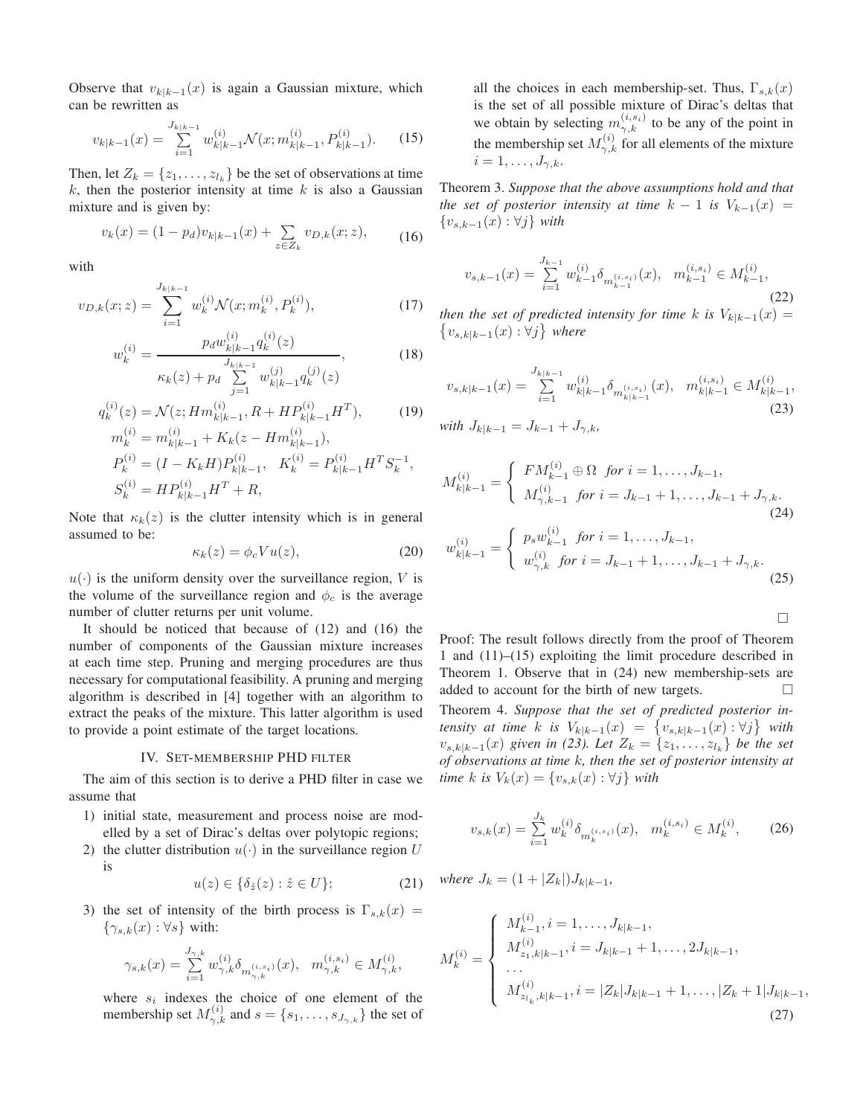Observe that  $v_{k|k-1}(x)$  is again a Gaussian mixture, which can be rewritten as

$$
v_{k|k-1}(x) = \sum_{i=1}^{J_{k|k-1}} w_{k|k-1}^{(i)} \mathcal{N}(x; m_{k|k-1}^{(i)}, P_{k|k-1}^{(i)}). \tag{15}
$$

Then, let  $Z_k = \{z_1, \ldots, z_{l_k}\}\$  be the set of observations at time  $k$ , then the posterior intensity at time  $k$  is also a Gaussian mixture and is given by:

$$
v_k(x) = (1 - p_d)v_{k|k-1}(x) + \sum_{z \in Z_k} v_{D,k}(x; z),
$$
 (16)

with

$$
v_{D,k}(x;z) = \sum_{i=1}^{J_{k|k-1}} w_k^{(i)} \mathcal{N}(x; m_k^{(i)}, P_k^{(i)}),
$$
\n(17)

$$
w_k^{(i)} = \frac{p_d w_{k|k-1}^{(i)} q_k^{(i)}(z)}{\kappa_k(z) + p_d \sum_{j=1}^{J_{k|k-1}} w_{k|k-1}^{(j)} q_k^{(j)}(z)},
$$
(18)

$$
q_k^{(i)}(z) = \mathcal{N}(z; Hm_{k|k-1}^{(i)}, R + HP_{k|k-1}^{(i)}H^T),
$$
(19)  
\n
$$
m_k^{(i)} = m_{k|k-1}^{(i)} + K_k(z - Hm_{k|k-1}^{(i)}),
$$
  
\n
$$
P_k^{(i)} = (I - K_k H)P_{k|k-1}^{(i)}, \quad K_k^{(i)} = P_{k|k-1}^{(i)}H^T S_k^{-1},
$$
  
\n
$$
S_k^{(i)} = H P_{k|k-1}^{(i)}H^T + R,
$$

Note that  $\kappa_k(z)$  is the clutter intensity which is in general assumed to be:

$$
\kappa_k(z) = \phi_c V u(z),\tag{20}
$$

 $u(\cdot)$  is the uniform density over the surveillance region, V is the volume of the surveillance region and  $\phi_c$  is the average number of clutter returns per unit volume.

It should be noticed that because of (12) and (16) the number of components of the Gaussian mixture increases at each time step. Pruning and merging procedures are thus necessary for computational feasibility. A pruning and merging algorithm is described in [4] together with an algorithm to extract the peaks of the mixture. This latter algorithm is used to provide a point estimate of the target locations.

#### IV. SET-MEMBERSHIP PHD FILTER

The aim of this section is to derive a PHD filter in case we assume that

- 1) initial state, measurement and process noise are modelled by a set of Dirac's deltas over polytopic regions;
- 2) the clutter distribution  $u(\cdot)$  in the surveillance region U is

$$
u(z) \in \{\delta_{\hat{z}}(z) : \hat{z} \in U\};\tag{21}
$$

3) the set of intensity of the birth process is  $\Gamma_{s,k}(x) =$  $\{\gamma_{s,k}(x): \forall s\}$  with:

$$
\gamma_{s,k}(x)=\textstyle \sum\limits_{i=1}^{J_{\gamma,k}} w_{\gamma,k}^{(i)} \delta_{m_{\gamma,k}^{(i,s_i)}}(x), \ \ m_{\gamma,k}^{(i,s_i)}\in M_{\gamma,k}^{(i)},
$$

where  $s_i$  indexes the choice of one element of the membership set  $M_{\gamma,k}^{(i)}$  and  $s = \{s_1, \ldots, s_{J_{\gamma,k}}\}$  the set of all the choices in each membership-set. Thus,  $\Gamma_{s,k}(x)$ is the set of all possible mixture of Dirac's deltas that we obtain by selecting  $m_{\gamma,k}^{(i,s_i)}$  to be any of the point in the membership set  $M_{\gamma,k}^{(i)}$  for all elements of the mixture  $i=1,\ldots,J_{\gamma,k}$ 

Theorem 3. *Suppose that the above assumptions hold and that the set of posterior intensity at time*  $k - 1$  *is*  $V_{k-1}(x) =$ {vs,k−1(x) : ∀j} *with*

$$
v_{s,k-1}(x) = \sum_{i=1}^{J_{k-1}} w_{k-1}^{(i)} \delta_{m_{k-1}^{(i,s_i)}}(x), \quad m_{k-1}^{(i,s_i)} \in M_{k-1}^{(i)},\tag{22}
$$

 ${v_{s,k|k-1}(x): ∀j}$  where *then the set of predicted intensity for time k is*  $V_{k|k-1}(x) =$ 

$$
v_{s,k|k-1}(x) = \sum_{i=1}^{J_{k|k-1}} w_{k|k-1}^{(i)} \delta_{m_{k|k-1}^{(i,s_i)}}(x), \quad m_{k|k-1}^{(i,s_i)} \in M_{k|k-1}^{(i)},
$$
\n(23)

with 
$$
J_{k|k-1} = J_{k-1} + J_{\gamma,k},
$$

$$
M_{k|k-1}^{(i)} = \begin{cases} FM_{k-1}^{(i)} \oplus \Omega & \text{for } i = 1, ..., J_{k-1}, \\ M_{\gamma,k-1}^{(i)} & \text{for } i = J_{k-1} + 1, ..., J_{k-1} + J_{\gamma,k}. \end{cases}
$$
  
\n
$$
w_{k|k-1}^{(i)} = \begin{cases} p_s w_{k-1}^{(i)} & \text{for } i = 1, ..., J_{k-1}, \\ w_{\gamma,k}^{(i)} & \text{for } i = J_{k-1} + 1, ..., J_{k-1} + J_{\gamma,k}. \end{cases}
$$
  
\n(25)

 $\Box$ 

Proof: The result follows directly from the proof of Theorem 1 and (11)–(15) exploiting the limit procedure described in Theorem 1. Observe that in (24) new membership-sets are added to account for the birth of new targets. Theorem 4. *Suppose that the set of predicted posterior intensity at time k is*  $V_{k|k-1}(x) = \{v_{s,k|k-1}(x) : \forall j\}$  with  $v_{s,k|k-1}(x)$  given in (23). Let  $Z_k = \{z_1, \ldots, z_{l_k}\}\$  be the set *of observations at time* k*, then the set of posterior intensity at time* k *is*  $V_k(x) = \{v_{s,k}(x) : \forall j\}$  *with* 

$$
v_{s,k}(x) = \sum_{i=1}^{J_k} w_k^{(i)} \delta_{m_k^{(i,s_i)}}(x), \quad m_k^{(i,s_i)} \in M_k^{(i)},\tag{26}
$$

*where*  $J_k = (1 + |Z_k|)J_{k|k-1}$ ,

$$
M_k^{(i)} = \begin{cases} M_{k-1}^{(i)}, i = 1, \dots, J_{k|k-1}, \\ M_{z_1, k|k-1}^{(i)}, i = J_{k|k-1} + 1, \dots, 2J_{k|k-1}, \\ \dots \\ M_{z_{l_k}, k|k-1}^{(i)}, i = |Z_k| J_{k|k-1} + 1, \dots, |Z_k + 1| J_{k|k-1}, \end{cases}
$$
(27)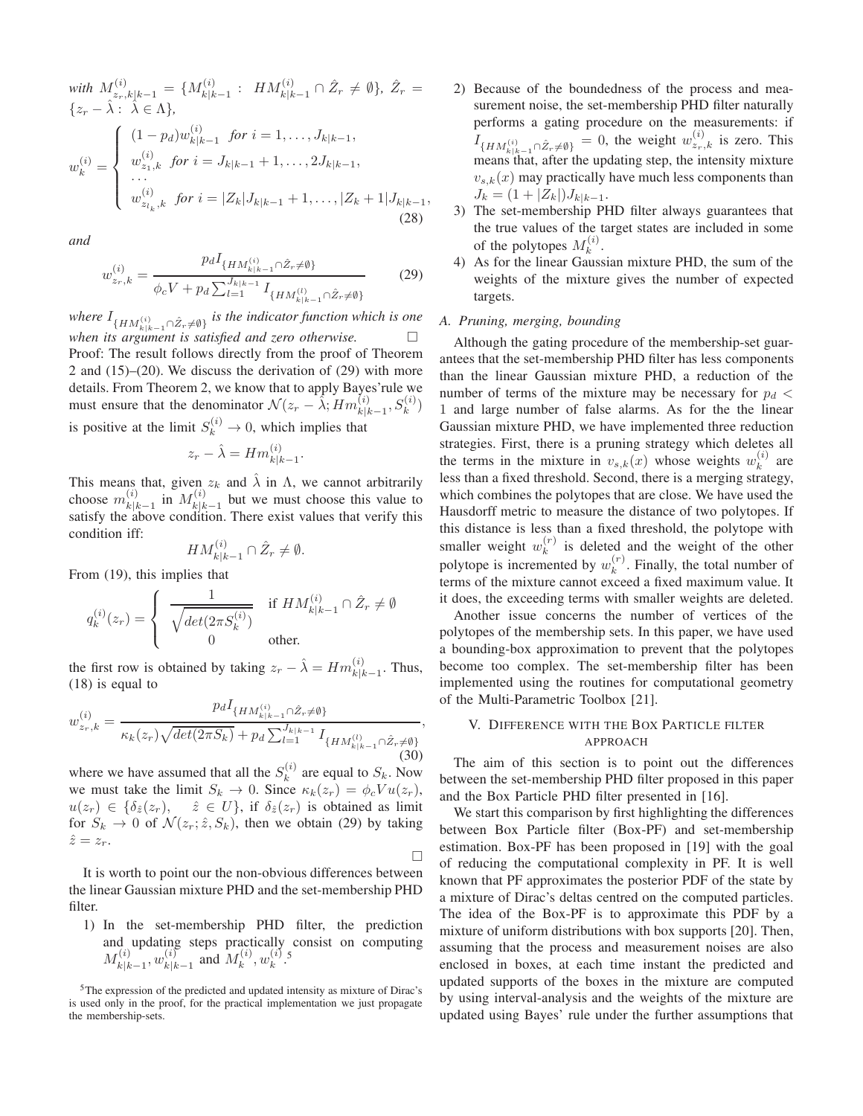with 
$$
M_{z_r,k|k-1}^{(i)} = \{M_{k|k-1}^{(i)} : HM_{k|k-1}^{(i)} \cap \hat{Z}_r \neq \emptyset\}, \ \hat{Z}_r = \{z_r - \hat{\lambda} : \ \hat{\lambda} \in \Lambda\},
$$
  

$$
w_k^{(i)} = \begin{cases} (1 - p_d)w_{k|k-1}^{(i)} \text{ for } i = 1, \dots, J_{k|k-1}, \\ w_{z_1,k}^{(i)} \text{ for } i = J_{k|k-1} + 1, \dots, 2J_{k|k-1}, \\ \dots \\ w_{z_{l_k},k}^{(i)} \text{ for } i = |Z_k|J_{k|k-1} + 1, \dots, |Z_k + 1|J_{k|k-1}, \end{cases}
$$
(28)

*and*

$$
w_{z_r,k}^{(i)} = \frac{p_d I_{\{HM_{k|k-1}^{(i)} \cap \hat{Z}_r \neq \emptyset\}}}{\phi_c V + p_d \sum_{l=1}^{J_{k|k-1}} I_{\{HM_{k|k-1}^{(l)} \cap \hat{Z}_r \neq \emptyset\}}}
$$
(29)

where  $I_{\{HM_{k|k-1}^{(i)} \cap \hat{Z}_r \neq \emptyset\}}$  *is the indicator function which is one when its argument is satisfied and zero otherwise.* Proof: The result follows directly from the proof of Theorem 2 and (15)–(20). We discuss the derivation of (29) with more details. From Theorem 2, we know that to apply Bayes'rule we must ensure that the denominator  $\mathcal{N}(z_r - \hat{\lambda}; Hm_{k|k-1}^{(i)}, S_k^{(i)})$ is positive at the limit  $S_k^{(i)} \to 0$ , which implies that

$$
z_r - \hat{\lambda} = Hm_{k|k-1}^{(i)}.
$$

This means that, given  $z_k$  and  $\hat{\lambda}$  in  $\Lambda$ , we cannot arbitrarily choose  $m_{\nu}^{(i)}$  $_{k|k-1}^{(i)}$  in  $M_{k|k}^{(i)}$  $\frac{k(k-1)}{k(k-1)}$  but we must choose this value to satisfy the above condition. There exist values that verify this condition iff:

$$
HM_{k|k-1}^{(i)} \cap \hat{Z}_r \neq \emptyset.
$$

From (19), this implies that

$$
q_k^{(i)}(z_r) = \begin{cases} \frac{1}{\sqrt{\det(2\pi S_k^{(i)})}} & \text{if } HM_{k|k-1}^{(i)} \cap \hat{Z}_r \neq \emptyset \\ 0 & \text{other.} \end{cases}
$$

the first row is obtained by taking  $z_r - \hat{\lambda} = Hm_{k|k-1}^{(i)}$ . Thus, (18) is equal to

$$
w_{z_r,k}^{(i)} = \frac{p_d I_{\{HM_{k|k-1}^{(i)} \cap \hat{Z}_r \neq \emptyset\}}}{\kappa_k(z_r)\sqrt{\det(2\pi S_k)} + p_d \sum_{l=1}^{J_{k|k-1}} I_{\{HM_{k|k-1}^{(l)} \cap \hat{Z}_r \neq \emptyset\}}}
$$
(30)

,

 $\Box$ 

where we have assumed that all the  $S_k^{(i)}$  $k^{(i)}$  are equal to  $S_k$ . Now we must take the limit  $S_k \to 0$ . Since  $\kappa_k(z_r) = \phi_c V u(z_r)$ ,  $u(z_r) \in {\delta_{\hat{z}}(z_r)}, \quad \hat{z} \in U$ , if  $\delta_{\hat{z}}(z_r)$  is obtained as limit for  $S_k \to 0$  of  $\mathcal{N}(z_r; \hat{z}, S_k)$ , then we obtain (29) by taking  $\hat{z}=z_r$ .

It is worth to point our the non-obvious differences between the linear Gaussian mixture PHD and the set-membership PHD filter.

1) In the set-membership PHD filter, the prediction and updating steps practically consist on computing  $M^{(i)}_{\nu+\nu}$  $\begin{array}{c} (i)\ k|k-1}, w^{(i)}_k \end{array}$  $\binom{i}{k|k-1}$  and  $M_k^{(i)}$  $_k^{(i)}, w_k^{(i)}$  $\binom{i}{k}$ .<sup>5</sup>

- 2) Because of the boundedness of the process and measurement noise, the set-membership PHD filter naturally performs a gating procedure on the measurements: if  $I_{\{HM_{k|k-1}^{(i)} \cap \hat{Z}_r \neq \emptyset\}} = 0$ , the weight  $w_{z_r,k}^{(i)}$  is zero. This means that, after the updating step, the intensity mixture  $v_{s,k}(x)$  may practically have much less components than  $J_k = (1 + |Z_k|) J_{k|k-1}.$
- 3) The set-membership PHD filter always guarantees that the true values of the target states are included in some of the polytopes  $M_k^{(i)}$  $\frac{u}{k}$ .
- 4) As for the linear Gaussian mixture PHD, the sum of the weights of the mixture gives the number of expected targets.

## *A. Pruning, merging, bounding*

Although the gating procedure of the membership-set guarantees that the set-membership PHD filter has less components than the linear Gaussian mixture PHD, a reduction of the number of terms of the mixture may be necessary for  $p_d$ 1 and large number of false alarms. As for the the linear Gaussian mixture PHD, we have implemented three reduction strategies. First, there is a pruning strategy which deletes all the terms in the mixture in  $v_{s,k}(x)$  whose weights  $w_k^{(i)}$  $k^{(i)}$  are less than a fixed threshold. Second, there is a merging strategy, which combines the polytopes that are close. We have used the Hausdorff metric to measure the distance of two polytopes. If this distance is less than a fixed threshold, the polytope with smaller weight  $w_k^{(r)}$  $\kappa^{(r)}$  is deleted and the weight of the other polytope is incremented by  $w_k^{(r)}$  $k^{(r)}$ . Finally, the total number of terms of the mixture cannot exceed a fixed maximum value. It it does, the exceeding terms with smaller weights are deleted.

Another issue concerns the number of vertices of the polytopes of the membership sets. In this paper, we have used a bounding-box approximation to prevent that the polytopes become too complex. The set-membership filter has been implemented using the routines for computational geometry of the Multi-Parametric Toolbox [21].

## V. DIFFERENCE WITH THE BOX PARTICLE FILTER APPROACH

The aim of this section is to point out the differences between the set-membership PHD filter proposed in this paper and the Box Particle PHD filter presented in [16].

We start this comparison by first highlighting the differences between Box Particle filter (Box-PF) and set-membership estimation. Box-PF has been proposed in [19] with the goal of reducing the computational complexity in PF. It is well known that PF approximates the posterior PDF of the state by a mixture of Dirac's deltas centred on the computed particles. The idea of the Box-PF is to approximate this PDF by a mixture of uniform distributions with box supports [20]. Then, assuming that the process and measurement noises are also enclosed in boxes, at each time instant the predicted and updated supports of the boxes in the mixture are computed by using interval-analysis and the weights of the mixture are updated using Bayes' rule under the further assumptions that

<sup>5</sup>The expression of the predicted and updated intensity as mixture of Dirac's is used only in the proof, for the practical implementation we just propagate the membership-sets.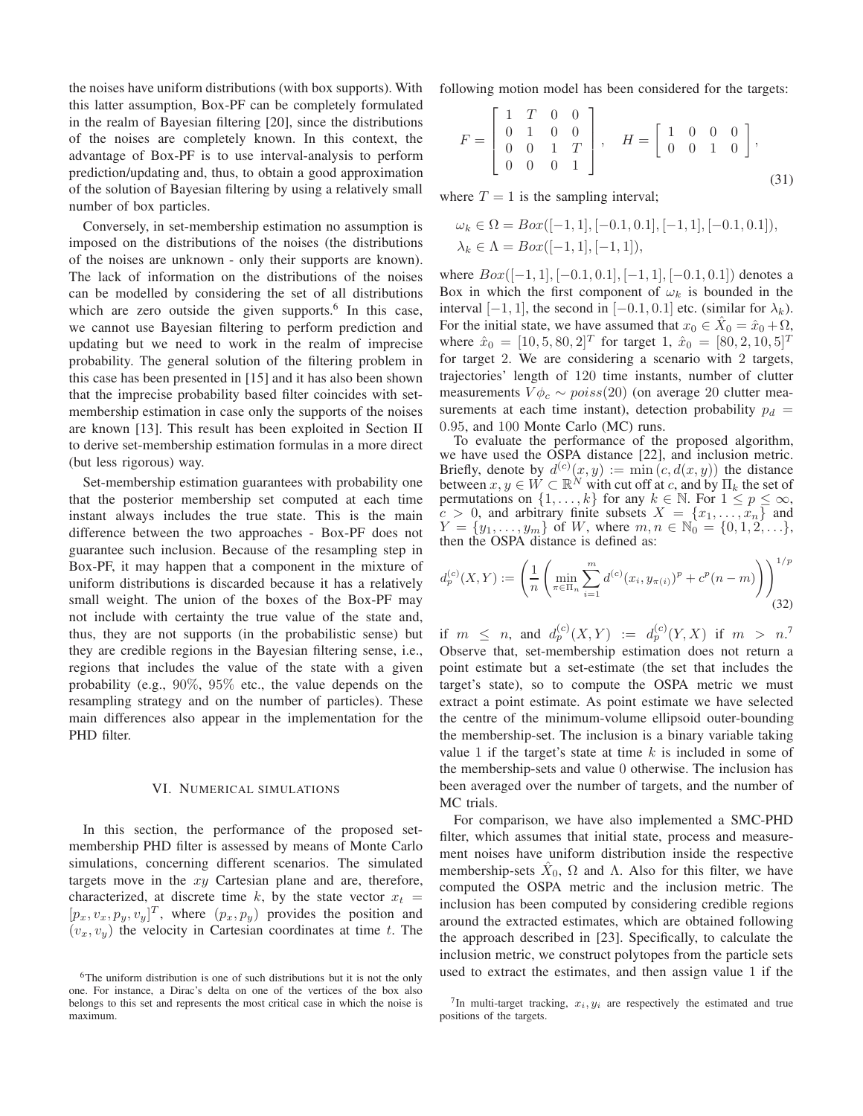the noises have uniform distributions (with box supports). With this latter assumption, Box-PF can be completely formulated in the realm of Bayesian filtering [20], since the distributions of the noises are completely known. In this context, the advantage of Box-PF is to use interval-analysis to perform prediction/updating and, thus, to obtain a good approximation of the solution of Bayesian filtering by using a relatively small number of box particles.

Conversely, in set-membership estimation no assumption is imposed on the distributions of the noises (the distributions of the noises are unknown - only their supports are known). The lack of information on the distributions of the noises can be modelled by considering the set of all distributions which are zero outside the given supports.<sup>6</sup> In this case, we cannot use Bayesian filtering to perform prediction and updating but we need to work in the realm of imprecise probability. The general solution of the filtering problem in this case has been presented in [15] and it has also been shown that the imprecise probability based filter coincides with setmembership estimation in case only the supports of the noises are known [13]. This result has been exploited in Section II to derive set-membership estimation formulas in a more direct (but less rigorous) way.

Set-membership estimation guarantees with probability one that the posterior membership set computed at each time instant always includes the true state. This is the main difference between the two approaches - Box-PF does not guarantee such inclusion. Because of the resampling step in Box-PF, it may happen that a component in the mixture of uniform distributions is discarded because it has a relatively small weight. The union of the boxes of the Box-PF may not include with certainty the true value of the state and, thus, they are not supports (in the probabilistic sense) but they are credible regions in the Bayesian filtering sense, i.e., regions that includes the value of the state with a given probability (e.g., 90%, 95% etc., the value depends on the resampling strategy and on the number of particles). These main differences also appear in the implementation for the PHD filter.

### VI. NUMERICAL SIMULATIONS

In this section, the performance of the proposed setmembership PHD filter is assessed by means of Monte Carlo simulations, concerning different scenarios. The simulated targets move in the  $xy$  Cartesian plane and are, therefore, characterized, at discrete time k, by the state vector  $x_t$  =  $[p_x, v_x, p_y, v_y]^T$ , where  $(p_x, p_y)$  provides the position and  $(v_x, v_y)$  the velocity in Cartesian coordinates at time t. The following motion model has been considered for the targets:

$$
F = \begin{bmatrix} 1 & T & 0 & 0 \\ 0 & 1 & 0 & 0 \\ 0 & 0 & 1 & T \\ 0 & 0 & 0 & 1 \end{bmatrix}, \quad H = \begin{bmatrix} 1 & 0 & 0 & 0 \\ 0 & 0 & 1 & 0 \end{bmatrix},
$$
\n(31)

where  $T = 1$  is the sampling interval;

$$
\omega_k \in \Omega = Box([-1, 1], [-0.1, 0.1], [-1, 1], [-0.1, 0.1]),
$$
  

$$
\lambda_k \in \Lambda = Box([-1, 1], [-1, 1]),
$$

where  $Box([-1, 1], [-0.1, 0.1], [-1, 1], [-0.1, 0.1])$  denotes a Box in which the first component of  $\omega_k$  is bounded in the interval [−1, 1], the second in [−0.1, 0.1] etc. (similar for  $\lambda_k$ ). For the initial state, we have assumed that  $x_0 \in \hat{X}_0 = \hat{x}_0 + \Omega$ , where  $\hat{x}_0 = [10, 5, 80, 2]^T$  for target 1,  $\hat{x}_0 = [80, 2, 10, 5]^T$ for target 2. We are considering a scenario with 2 targets, trajectories' length of 120 time instants, number of clutter measurements  $V\phi_c \sim poiss(20)$  (on average 20 clutter measurements at each time instant), detection probability  $p_d$  = 0.95, and 100 Monte Carlo (MC) runs.

To evaluate the performance of the proposed algorithm, we have used the OSPA distance [22], and inclusion metric. Briefly, denote by  $d^{(c)}(x, y) := \min(c, d(x, y))$  the distance between  $x, y \in \dot{W} \subset \mathbb{R}^N$  with cut off at c, and by  $\Pi_k$  the set of permutations on  $\{1, \ldots, k\}$  for any  $k \in \mathbb{N}$ . For  $1 \leq p \leq \infty$ ,  $c > 0$ , and arbitrary finite subsets  $X = \{x_1, \ldots, x_n\}$  and  $Y = \{y_1, \ldots, y_m\}$  of W, where  $m, n \in \mathbb{N}_0 = \{0, 1, 2, \ldots\}$ , then the OSPA distance is defined as:

$$
d_p^{(c)}(X,Y) := \left(\frac{1}{n} \left(\min_{\pi \in \Pi_n} \sum_{i=1}^m d^{(c)}(x_i, y_{\pi(i)})^p + c^p(n-m)\right)\right)^{1/p}
$$
(32)

if  $m \leq n$ , and  $d_p^{(c)}(X,Y) := d_p^{(c)}(Y,X)$  if  $m > n$ . Observe that, set-membership estimation does not return a point estimate but a set-estimate (the set that includes the target's state), so to compute the OSPA metric we must extract a point estimate. As point estimate we have selected the centre of the minimum-volume ellipsoid outer-bounding the membership-set. The inclusion is a binary variable taking value 1 if the target's state at time  $k$  is included in some of the membership-sets and value 0 otherwise. The inclusion has been averaged over the number of targets, and the number of MC trials.

For comparison, we have also implemented a SMC-PHD filter, which assumes that initial state, process and measurement noises have uniform distribution inside the respective membership-sets  $\hat{X}_0$ ,  $\Omega$  and  $\Lambda$ . Also for this filter, we have computed the OSPA metric and the inclusion metric. The inclusion has been computed by considering credible regions around the extracted estimates, which are obtained following the approach described in [23]. Specifically, to calculate the inclusion metric, we construct polytopes from the particle sets used to extract the estimates, and then assign value 1 if the

<sup>&</sup>lt;sup>6</sup>The uniform distribution is one of such distributions but it is not the only one. For instance, a Dirac's delta on one of the vertices of the box also belongs to this set and represents the most critical case in which the noise is maximum.

<sup>&</sup>lt;sup>7</sup>In multi-target tracking,  $x_i, y_i$  are respectively the estimated and true positions of the targets.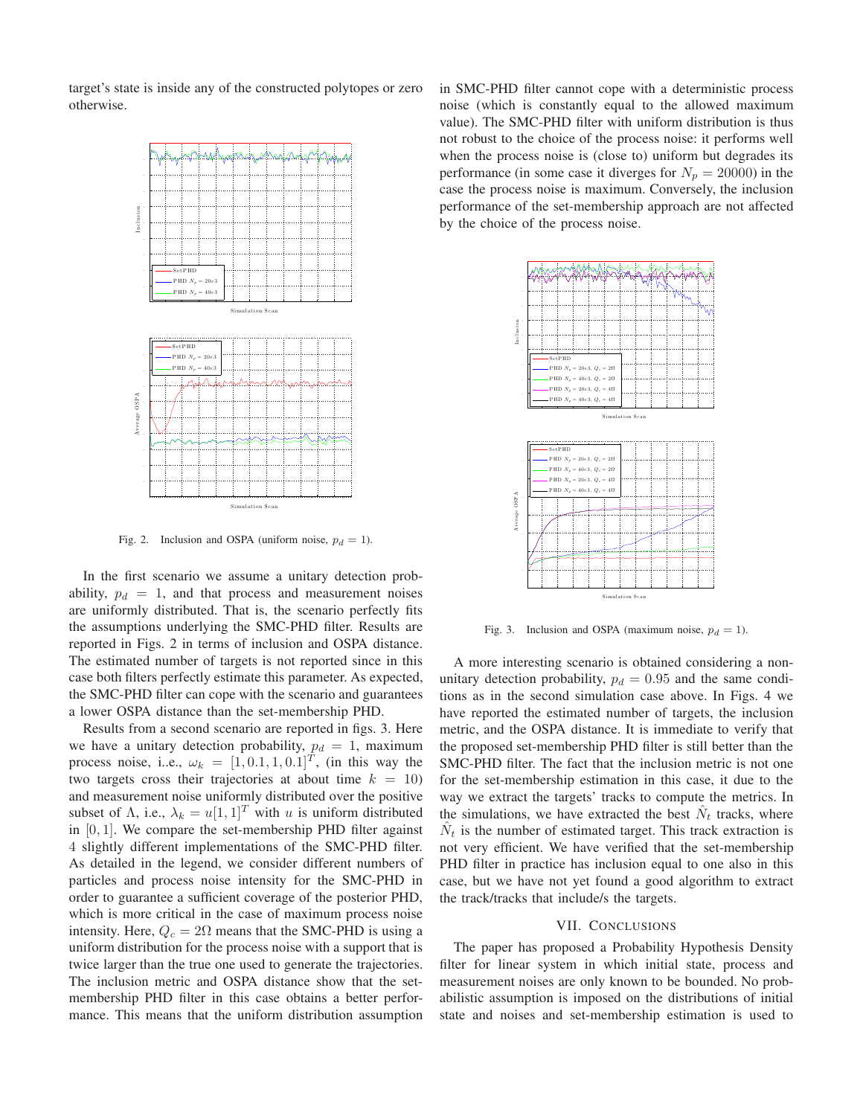target's state is inside any of the constructed polytopes or zero otherwise.



Fig. 2. Inclusion and OSPA (uniform noise,  $p_d = 1$ ).

In the first scenario we assume a unitary detection probability,  $p_d = 1$ , and that process and measurement noises are uniformly distributed. That is, the scenario perfectly fits the assumptions underlying the SMC-PHD filter. Results are reported in Figs. 2 in terms of inclusion and OSPA distance. The estimated number of targets is not reported since in this case both filters perfectly estimate this parameter. As expected, the SMC-PHD filter can cope with the scenario and guarantees a lower OSPA distance than the set-membership PHD.

Results from a second scenario are reported in figs. 3. Here we have a unitary detection probability,  $p_d = 1$ , maximum process noise, i.e.,  $\omega_k = [1, 0.1, 1, 0.1]^T$ , (in this way the two targets cross their trajectories at about time  $k = 10$ ) and measurement noise uniformly distributed over the positive subset of  $\Lambda$ , i.e.,  $\lambda_k = u[1, 1]^T$  with u is uniform distributed in  $[0, 1]$ . We compare the set-membership PHD filter against 4 slightly different implementations of the SMC-PHD filter. As detailed in the legend, we consider different numbers of particles and process noise intensity for the SMC-PHD in order to guarantee a sufficient coverage of the posterior PHD, which is more critical in the case of maximum process noise intensity. Here,  $Q_c = 2\Omega$  means that the SMC-PHD is using a uniform distribution for the process noise with a support that is twice larger than the true one used to generate the trajectories. The inclusion metric and OSPA distance show that the setmembership PHD filter in this case obtains a better performance. This means that the uniform distribution assumption in SMC-PHD filter cannot cope with a deterministic process noise (which is constantly equal to the allowed maximum value). The SMC-PHD filter with uniform distribution is thus not robust to the choice of the process noise: it performs well when the process noise is (close to) uniform but degrades its performance (in some case it diverges for  $N_p = 20000$ ) in the case the process noise is maximum. Conversely, the inclusion performance of the set-membership approach are not affected by the choice of the process noise.



Fig. 3. Inclusion and OSPA (maximum noise,  $p_d = 1$ ).

A more interesting scenario is obtained considering a nonunitary detection probability,  $p_d = 0.95$  and the same conditions as in the second simulation case above. In Figs. 4 we have reported the estimated number of targets, the inclusion metric, and the OSPA distance. It is immediate to verify that the proposed set-membership PHD filter is still better than the SMC-PHD filter. The fact that the inclusion metric is not one for the set-membership estimation in this case, it due to the way we extract the targets' tracks to compute the metrics. In the simulations, we have extracted the best  $\hat{N}_t$  tracks, where  $\hat{N}_t$  is the number of estimated target. This track extraction is not very efficient. We have verified that the set-membership PHD filter in practice has inclusion equal to one also in this case, but we have not yet found a good algorithm to extract the track/tracks that include/s the targets.

#### VII. CONCLUSIONS

The paper has proposed a Probability Hypothesis Density filter for linear system in which initial state, process and measurement noises are only known to be bounded. No probabilistic assumption is imposed on the distributions of initial state and noises and set-membership estimation is used to